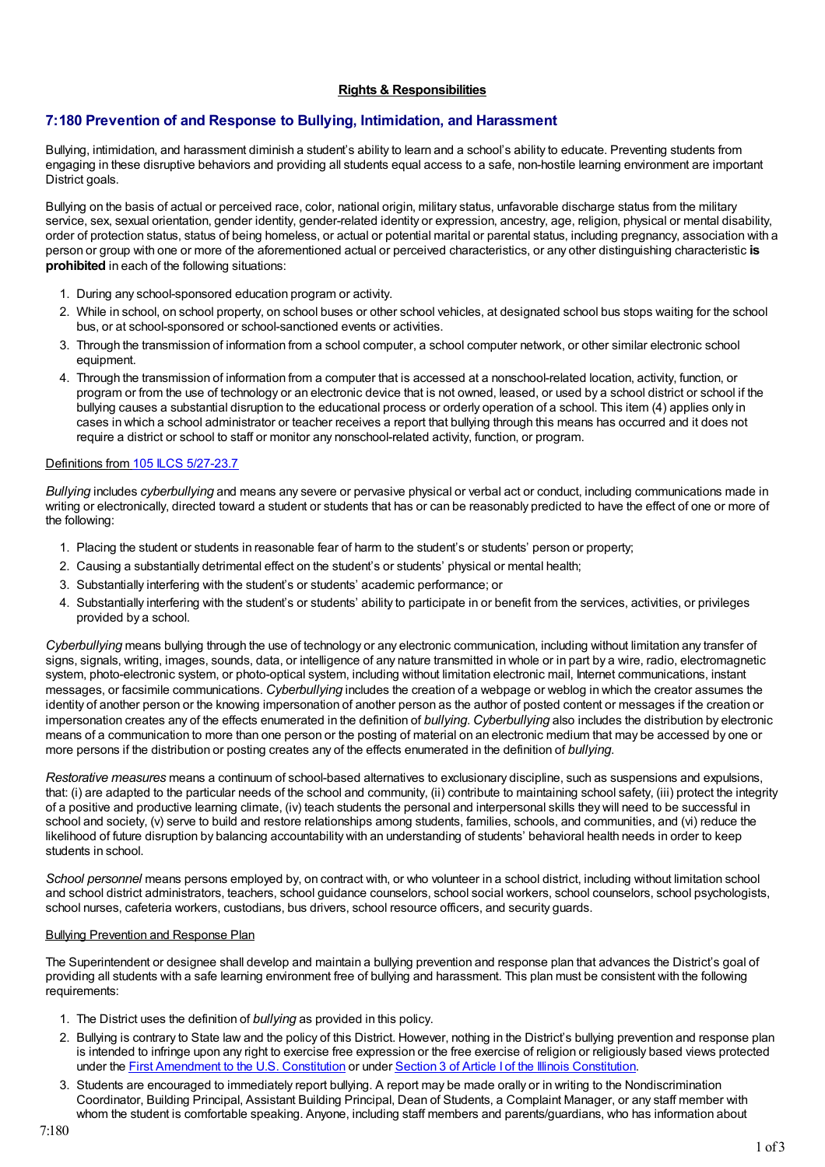# **Rights & Responsibilities**

# **7:180 Prevention of and Response to Bullying, Intimidation, and Harassment**

Bullying, intimidation, and harassment diminish a student's ability to learn and a school's ability to educate. Preventing students from engaging in these disruptive behaviors and providing all students equal access to a safe, non-hostile learning environment are important District goals.

Bullying on the basis of actual or perceived race, color, national origin, military status, unfavorable discharge status from the military service, sex, sexual orientation, gender identity, gender-related identity or expression, ancestry, age, religion, physical or mental disability, order of protection status, status of being homeless, or actual or potential marital or parental status, including pregnancy, association with a person or group with one or more of the aforementioned actual or perceived characteristics, or any other distinguishing characteristic **is prohibited** in each of the following situations:

- 1. During any school-sponsored education program or activity.
- 2. While in school, on school property, on school buses or other school vehicles, at designated school bus stops waiting for the school bus, or at school-sponsored or school-sanctioned events or activities.
- 3. Through the transmission of information from a school computer, a school computer network, or other similar electronic school equipment.
- 4. Through the transmission of information from a computer that is accessed at a nonschool-related location, activity, function, or program or from the use of technology or an electronic device that is not owned, leased, or used by a school district or school if the bullying causes a substantial disruption to the educational process or orderly operation of a school. This item (4) applies only in cases in which a school administrator or teacher receives a report that bullying through this means has occurred and it does not require a district or school to staff or monitor any nonschool-related activity, function, or program.

### Definitions from 105 ILCS [5/27-23.7](http://redirector.microscribepub.com/?cat=stat&loc=il&id=105&spec=5-27)

*Bullying* includes *cyberbullying* and means any severe or pervasive physical or verbal act or conduct, including communications made in writing or electronically, directed toward a student or students that has or can be reasonably predicted to have the effect of one or more of the following:

- 1. Placing the student or students in reasonable fear of harm to the student's or students' person or property;
- 2. Causing a substantially detrimental effect on the student's or students' physical or mental health;
- 3. Substantially interfering with the student's or students' academic performance; or
- 4. Substantially interfering with the student's or students' ability to participate in or benefit from the services, activities, or privileges provided by a school.

*Cyberbullying* means bullying through the use of technology or any electronic communication, including without limitation any transfer of signs, signals, writing, images, sounds, data, or intelligence of any nature transmitted in whole or in part by a wire, radio, electromagnetic system, photo-electronic system, or photo-optical system, including without limitation electronic mail, Internet communications, instant messages, or facsimile communications. *Cyberbullying* includes the creation of a webpage or weblog in which the creator assumes the identity of another person or the knowing impersonation of another person as the author of posted content or messages if the creation or impersonation creates any of the effects enumerated in the definition of *bullying*. *Cyberbullying* also includes the distribution by electronic means of a communication to more than one person or the posting of material on an electronic medium that may be accessed by one or more persons if the distribution or posting creates any of the effects enumerated in the definition of *bullying*.

*Restorative measures* means a continuum of school-based alternatives to exclusionary discipline, such as suspensions and expulsions, that: (i) are adapted to the particular needs of the school and community, (ii) contribute to maintaining school safety, (iii) protect the integrity of a positive and productive learning climate, (iv) teach students the personal and interpersonal skills they will need to be successful in school and society, (v) serve to build and restore relationships among students, families, schools, and communities, and (vi) reduce the likelihood of future disruption by balancing accountability with an understanding of students' behavioral health needs in order to keep students in school.

*School personnel* means persons employed by, on contract with, or who volunteer in a school district, including without limitation school and school district administrators, teachers, school guidance counselors, school social workers, school counselors, school psychologists, school nurses, cafeteria workers, custodians, bus drivers, school resource officers, and security guards.

### Bullying Prevention and Response Plan

The Superintendent or designee shall develop and maintain a bullying prevention and response plan that advances the District's goal of providing all students with a safe learning environment free of bullying and harassment. This plan must be consistent with the following requirements:

- 1. The District uses the definition of *bullying* as provided in this policy.
- 2. Bullying is contrary to State law and the policy of this District. However, nothing in the District's bullying prevention and response plan is intended to infringe upon any right to exercise free expression or the free exercise of religion or religiously based views protected under the First [Amendment](http://redirector.microscribepub.com/?cat=const&loc=us&) to the U.S. Constitution or under Section 3 of Article I of the Illinois [Constitution](http://redirector.microscribepub.com/?cat=const&loc=il&id=arti&).
- 3. Students are encouraged to immediately report bullying. A report may be made orally or in writing to the Nondiscrimination Coordinator, Building Principal, Assistant Building Principal, Dean of Students, a Complaint Manager, or any staff member with whom the student is comfortable speaking. Anyone, including staff members and parents/guardians, who has information about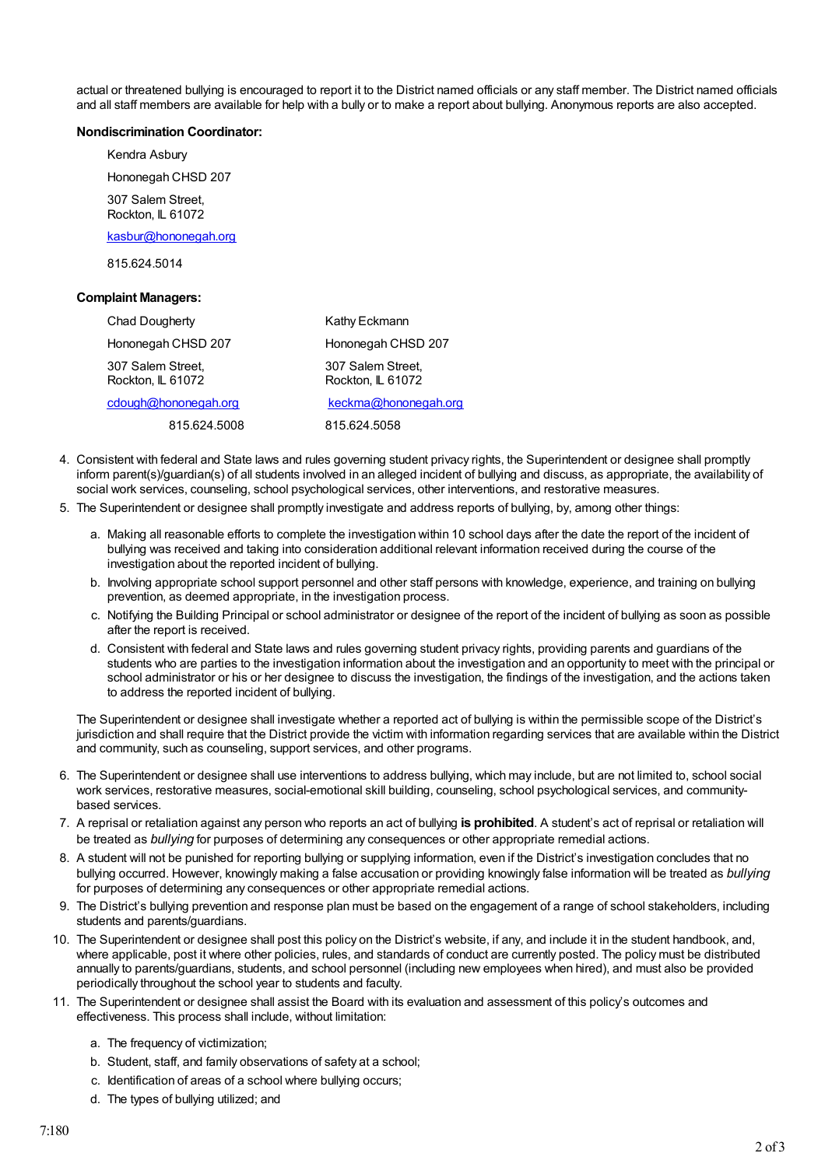actual or threatened bullying is encouraged to report it to the District named officials or any staff member. The District named officials and all staff members are available for help with a bully or to make a report about bullying. Anonymous reports are also accepted.

#### **Nondiscrimination Coordinator:**

Kendra Asbury Hononegah CHSD 207 307 Salem Street,

Rockton, IL 61072

[kasbur@hononegah.org](mailto:kasbur@hononegah.org)

815.624.5014

#### **Complaint Managers:**

| Chad Dougherty                         | Kathy Eckmann                          |
|----------------------------------------|----------------------------------------|
| Hononegah CHSD 207                     | Hononegah CHSD 207                     |
| 307 Salem Street,<br>Rockton, IL 61072 | 307 Salem Street,<br>Rockton, IL 61072 |
| cdough@hononegah.org                   | keckma@hononegah.org                   |
| 815.624.5008                           | 815.624.5058                           |

- 4. Consistent with federal and State laws and rules governing student privacy rights, the Superintendent or designee shall promptly inform parent(s)/guardian(s) of all students involved in an alleged incident of bullying and discuss, as appropriate, the availability of social work services, counseling, school psychological services, other interventions, and restorative measures.
- 5. The Superintendent or designee shall promptly investigate and address reports of bullying, by, among other things:
	- a. Making all reasonable efforts to complete the investigation within 10 school days after the date the report of the incident of bullying was received and taking into consideration additional relevant information received during the course of the investigation about the reported incident of bullying.
	- b. Involving appropriate school support personnel and other staff persons with knowledge, experience, and training on bullying prevention, as deemed appropriate, in the investigation process.
	- c. Notifying the Building Principal or school administrator or designee of the report of the incident of bullying as soon as possible after the report is received.
	- d. Consistent with federal and State laws and rules governing student privacy rights, providing parents and guardians of the students who are parties to the investigation information about the investigation and an opportunity to meet with the principal or school administrator or his or her designee to discuss the investigation, the findings of the investigation, and the actions taken to address the reported incident of bullying.

The Superintendent or designee shall investigate whether a reported act of bullying is within the permissible scope of the District's jurisdiction and shall require that the District provide the victim with information regarding services that are available within the District and community, such as counseling, support services, and other programs.

- 6. The Superintendent or designee shall use interventions to address bullying, which may include, but are not limited to, school social work services, restorative measures, social-emotional skill building, counseling, school psychological services, and communitybased services.
- 7. A reprisal or retaliation against any person who reports an act of bullying **is prohibited**. A student's act of reprisal or retaliation will be treated as *bullying* for purposes of determining any consequences or other appropriate remedial actions.
- 8. A student will not be punished for reporting bullying or supplying information, even if the District's investigation concludes that no bullying occurred. However, knowingly making a false accusation or providing knowingly false information will be treated as *bullying* for purposes of determining any consequences or other appropriate remedial actions.
- 9. The District's bullying prevention and response plan must be based on the engagement of a range of school stakeholders, including students and parents/guardians.
- 10. The Superintendent or designee shall post this policy on the District's website, if any, and include it in the student handbook, and, where applicable, post it where other policies, rules, and standards of conduct are currently posted. The policy must be distributed annually to parents/guardians, students, and school personnel (including new employees when hired), and must also be provided periodically throughout the school year to students and faculty.
- 11. The Superintendent or designee shall assist the Board with its evaluation and assessment of this policy's outcomes and effectiveness. This process shall include, without limitation:
	- a. The frequency of victimization;
	- b. Student, staff, and family observations of safety at a school;
	- c. Identification of areas of a school where bullying occurs;
	- d. The types of bullying utilized; and